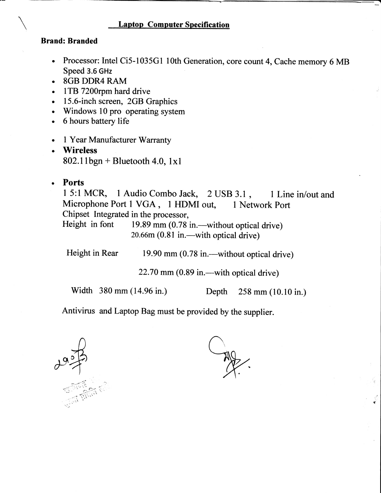### Laptop Computer Specification

#### Brand: Branded

- . Processor: Intel Ci5-1035G1 1Oth Generation, core count 4, Cache memory 6 MB Speed 3.6 GHz
- . 8GB DDR4 RAM
- . lTB 7200rpm hard drive
- 15.6-inch screen, 2GB Graphics
- . Windows 10 pro operating system
- . 6 hours battery life
- 1 Year Manufacturer Warranty
- **Wireless**  $802.11$ bgn + Bluetooth 4.0, lxl
- Ports O

15:1 MCR, 1 Audio Combo Jack, 2 USB 3.1, 1 Line in/out and Microphone Port 1 VGA, 1 HDMI out, 1 Network Port Microphone Port 1 VGA, 1 HDMI out, Chipset Integrated in the processor,

Height in font 19.89 mm (0.78 in.—without optical drive)  $20.66m (0.81 in. -with optical drive)$ 

Height in Rear 19.90 mm (0.78 in.—without optical drive)

 $22.70$  mm  $(0.89$  in.—with optical drive)

Width 380 mm (14.96 in.) Depth 258 mm (10.10 in.)

,i \$

Antivirus and Laptop Bag must be provided by the supplier.

 $2927$ 

 $\frac{1}{\sqrt{2}}$ !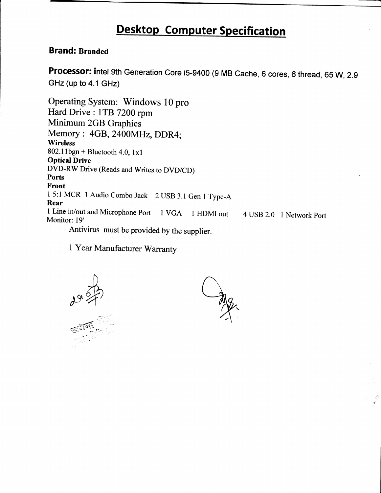# Desktop Computer Specification

### Brand: Branded

Processor: intel 9th Generation Core i5-9400 (g MB Cache, 6 cores, 6 thread, 65 W, 2.g GHz (up to 4.1 GHz)

Operating System: Windows 10 pro Hard Drive : 1TB 7200 rpm Minimum 2GB Graphics Memory : 4GB, 2400MH2, DDR4; **Wireless**  $802.11$ bgn + Bluetooth 4.0,  $1x1$ Optical Drive DVD-RW Drive (Reads and writes to DVD/CD) Ports Front <sup>1</sup>5:l MCR I Audio Combo Jack 2 IJSB 3.1 Gen t Type-A Rear 1 Line in/out and Microphone Port 1 VGA 1 HDMI out Monitor: 19' Antivirus must be provided by the supplier. <sup>4</sup>USB 2.0 1 Network Port

I Year Manufacturer Warranty

 $\frac{1}{2}$  $20,57$ 

Ag

t!.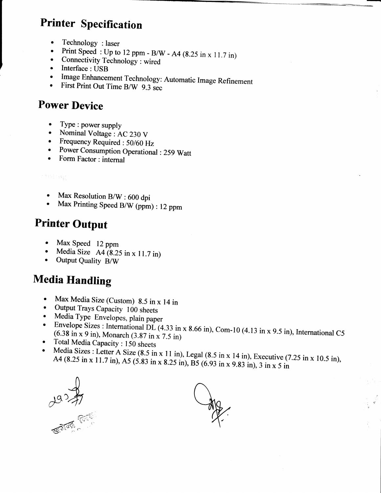## **Printer Specification**

- Technology : laser  $\bullet$
- Print Speed: Up to 12 ppm B/W A4 (8.25 in x 11.7 in)  $\bullet$
- Connectivity Technology : wired  $\bullet$
- $\bullet$ Interface: USB
- Image Enhancement Technology: Automatic Image Refinement  $\bullet$
- First Print Out Time B/W 9.3 sec  $\bullet$

## **Power Device**

- Type : power supply  $\bullet$
- Nominal Voltage : AC 230 V
- Frequency Required : 50/60 Hz
- Power Consumption Operational : 259 Watt
- Form Factor: internal  $\bullet$

### rmong

- Max Resolution  $B/W$ : 600 dpi  $\bullet$
- Max Printing Speed B/W (ppm) : 12 ppm

## **Printer Output**

- Max Speed 12 ppm  $\bullet$
- Media Size  $A4(8.25 \text{ in } x 11.7 \text{ in})$
- Output Quality B/W

## **Media Handling**

- Max Media Size (Custom) 8.5 in x 14 in  $\bullet$
- Output Trays Capacity 100 sheets  $\bullet$
- Media Type Envelopes, plain paper  $\bullet$
- Envelope Sizes : International DL (4.33 in x 8.66 in), Com-10 (4.13 in x 9.5 in), International C5  $\bullet$  $(6.38 \text{ in } x 9 \text{ in})$ , Monarch  $(3.87 \text{ in } x 7.5 \text{ in})$
- Total Media Capacity: 150 sheets
- Media Sizes : Letter A Size (8.5 in x 11 in), Legal (8.5 in x 14 in), Executive (7.25 in x 10.5 in), A4 (8.25 in x 11.7 in), A5 (5.83 in x 8.25 in), B5 (6.93 in x 9.83 in), 3 in x 5 in

 $2937$ 

 $\frac{dy}{dx}$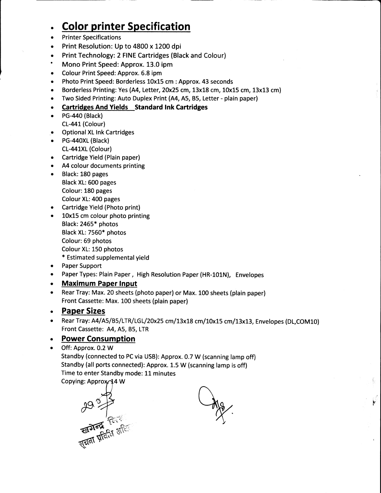#### o **Color printer Specification**

- a Printer Specifications
- a Print Resolution: Up to 4800 x 1200 dpi
- $\bullet$ Print Technology: 2 FINE Cartrldges (Black and Colour)
- t Mono Print Speed: Approx. 13.0 ipm
- Colour Print Speed: Approx. 6.8 ipm  $\bullet$
- $\bullet$ Photo Print Speed: Borderless 10x15 cm : Approx. 43 seconds
- Borderless Printing: Yes (A4, Letter, 20x25 cm, 13x18 cm, 10x15 cm, 13x13 cm)  $\bullet$
- $\bullet$ Two Sided Printing: Auto Duplex Print (A4, A5, 85, Letter - plain paper)

#### Cartridees And Yields Standard tnk Cartridges  $\bullet$

- PG-440 (Black)  $\bullet$ CL-441 (Colour)
- Optional XL lnk Cartridges  $\bullet$
- PG-440XL (Black CL-441XL (Colour)
- Cartridge Yield (Plain paper)
- A4 colour documents printing o
- Black: 180 pages Black XL: 600 pages Colour: 180 pages Colour XL: 400 pages  $\bullet$
- Cartridge Yield (Photo print)
- 10x15 cm colour photo printing Black:2465\* photos Black XL: 7550\* photos Colour:69 photos Colour XL: 150 photos \* Estimated supplemental yield a
- Paper Support I
- Paper Types: Plain Paper, High Resolution Paper (HR-101N), Envelopes a
- Maximum Paper lnput  $\bullet$
- Rear Tray: Max. 20 sheets (photo paper) or Max. 100 sheets (plain paper) Front Cassette: Max. 100 sheets (plain paper)  $\bullet$

#### Paper Sizes a

Rear Tray: A4/A5/B5/LTR/LGL/20x25 cm/13x18 cm/10x15 cm/13x13, Envelopes (DL,COM10) Front Cassette: A4, A5, 85, LTR o

#### Power Consumption a

Off: Approx. 0.2 W Standby (connected to PC via USB): Approx. 0.7 W (scanning lamp off) Standby (all ports connected): Approx. L.5 W (scanning lamp is off) Time to enter Standby mode: 11 minutes Copying: Approx 44 W a

**29 3 73** 

 $\frac{dy}{dx}$ 

k; I